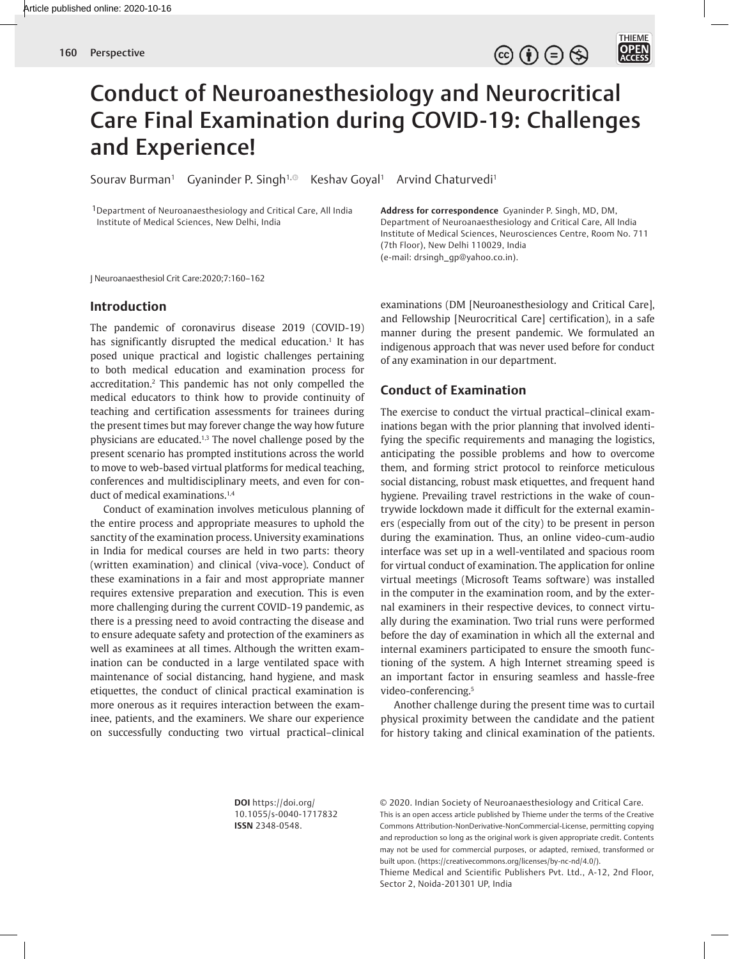

# Conduct of Neuroanesthesiology and Neurocritical Care Final Examination during COVID-19: Challenges and Experience!

Sourav Burman<sup>1</sup> Gyaninder P. Singh<sup>1,®</sup> Keshav Goyal<sup>1</sup> Arvind Chaturvedi<sup>1</sup>

1Department of Neuroanaesthesiology and Critical Care, All India Institute of Medical Sciences, New Delhi, India

**Address for correspondence** Gyaninder P. Singh, MD, DM, Department of Neuroanaesthesiology and Critical Care, All India Institute of Medical Sciences, Neurosciences Centre, Room No. 711 (7th Floor), New Delhi 110029, India (e-mail: drsingh\_gp@yahoo.co.in).

J Neuroanaesthesiol Crit Care:2020;7:160–162

## **Introduction**

The pandemic of coronavirus disease 2019 (COVID-19) has significantly disrupted the medical education.1 It has posed unique practical and logistic challenges pertaining to both medical education and examination process for accreditation.2 This pandemic has not only compelled the medical educators to think how to provide continuity of teaching and certification assessments for trainees during the present times but may forever change the way how future physicians are educated.1,3 The novel challenge posed by the present scenario has prompted institutions across the world to move to web-based virtual platforms for medical teaching, conferences and multidisciplinary meets, and even for conduct of medical examinations.<sup>1,4</sup>

Conduct of examination involves meticulous planning of the entire process and appropriate measures to uphold the sanctity of the examination process. University examinations in India for medical courses are held in two parts: theory (written examination) and clinical (viva-voce). Conduct of these examinations in a fair and most appropriate manner requires extensive preparation and execution. This is even more challenging during the current COVID-19 pandemic, as there is a pressing need to avoid contracting the disease and to ensure adequate safety and protection of the examiners as well as examinees at all times. Although the written examination can be conducted in a large ventilated space with maintenance of social distancing, hand hygiene, and mask etiquettes, the conduct of clinical practical examination is more onerous as it requires interaction between the examinee, patients, and the examiners. We share our experience on successfully conducting two virtual practical–clinical examinations (DM [Neuroanesthesiology and Critical Care], and Fellowship [Neurocritical Care] certification), in a safe manner during the present pandemic. We formulated an indigenous approach that was never used before for conduct of any examination in our department.

## **Conduct of Examination**

The exercise to conduct the virtual practical–clinical examinations began with the prior planning that involved identifying the specific requirements and managing the logistics, anticipating the possible problems and how to overcome them, and forming strict protocol to reinforce meticulous social distancing, robust mask etiquettes, and frequent hand hygiene. Prevailing travel restrictions in the wake of countrywide lockdown made it difficult for the external examiners (especially from out of the city) to be present in person during the examination. Thus, an online video-cum-audio interface was set up in a well-ventilated and spacious room for virtual conduct of examination. The application for online virtual meetings (Microsoft Teams software) was installed in the computer in the examination room, and by the external examiners in their respective devices, to connect virtually during the examination. Two trial runs were performed before the day of examination in which all the external and internal examiners participated to ensure the smooth functioning of the system. A high Internet streaming speed is an important factor in ensuring seamless and hassle-free video-conferencing.<sup>5</sup>

Another challenge during the present time was to curtail physical proximity between the candidate and the patient for history taking and clinical examination of the patients.

**DOI** https://doi.org/ 10.1055/s-0040-1717832 **ISSN** 2348-0548.

© 2020. Indian Society of Neuroanaesthesiology and Critical Care. This is an open access article published by Thieme under the terms of the Creative Commons Attribution-NonDerivative-NonCommercial-License, permitting copying and reproduction so long as the original work is given appropriate credit. Contents may not be used for commercial purposes, or adapted, remixed, transformed or built upon. (https://creativecommons.org/licenses/by-nc-nd/4.0/).

Thieme Medical and Scientific Publishers Pvt. Ltd., A-12, 2nd Floor, Sector 2, Noida-201301 UP, India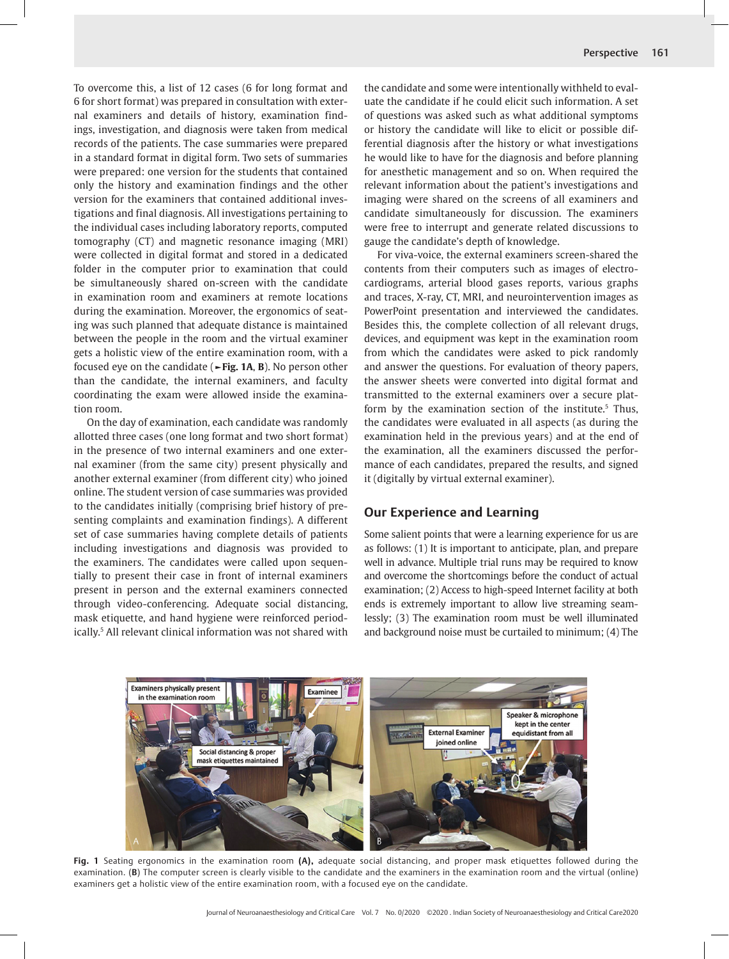To overcome this, a list of 12 cases (6 for long format and 6 for short format) was prepared in consultation with external examiners and details of history, examination findings, investigation, and diagnosis were taken from medical records of the patients. The case summaries were prepared in a standard format in digital form. Two sets of summaries were prepared: one version for the students that contained only the history and examination findings and the other version for the examiners that contained additional investigations and final diagnosis. All investigations pertaining to the individual cases including laboratory reports, computed tomography (CT) and magnetic resonance imaging (MRI) were collected in digital format and stored in a dedicated folder in the computer prior to examination that could be simultaneously shared on-screen with the candidate in examination room and examiners at remote locations during the examination. Moreover, the ergonomics of seating was such planned that adequate distance is maintained between the people in the room and the virtual examiner gets a holistic view of the entire examination room, with a focused eye on the candidate (**►Fig. 1A**, **B**). No person other than the candidate, the internal examiners, and faculty coordinating the exam were allowed inside the examination room.

On the day of examination, each candidate was randomly allotted three cases (one long format and two short format) in the presence of two internal examiners and one external examiner (from the same city) present physically and another external examiner (from different city) who joined online. The student version of case summaries was provided to the candidates initially (comprising brief history of presenting complaints and examination findings). A different set of case summaries having complete details of patients including investigations and diagnosis was provided to the examiners. The candidates were called upon sequentially to present their case in front of internal examiners present in person and the external examiners connected through video-conferencing. Adequate social distancing, mask etiquette, and hand hygiene were reinforced periodically.5 All relevant clinical information was not shared with the candidate and some were intentionally withheld to evaluate the candidate if he could elicit such information. A set of questions was asked such as what additional symptoms or history the candidate will like to elicit or possible differential diagnosis after the history or what investigations he would like to have for the diagnosis and before planning for anesthetic management and so on. When required the relevant information about the patient's investigations and imaging were shared on the screens of all examiners and candidate simultaneously for discussion. The examiners were free to interrupt and generate related discussions to gauge the candidate's depth of knowledge.

For viva-voice, the external examiners screen-shared the contents from their computers such as images of electrocardiograms, arterial blood gases reports, various graphs and traces, X-ray, CT, MRI, and neurointervention images as PowerPoint presentation and interviewed the candidates. Besides this, the complete collection of all relevant drugs, devices, and equipment was kept in the examination room from which the candidates were asked to pick randomly and answer the questions. For evaluation of theory papers, the answer sheets were converted into digital format and transmitted to the external examiners over a secure platform by the examination section of the institute.<sup>5</sup> Thus, the candidates were evaluated in all aspects (as during the examination held in the previous years) and at the end of the examination, all the examiners discussed the performance of each candidates, prepared the results, and signed it (digitally by virtual external examiner).

## **Our Experience and Learning**

Some salient points that were a learning experience for us are as follows: (1) It is important to anticipate, plan, and prepare well in advance. Multiple trial runs may be required to know and overcome the shortcomings before the conduct of actual examination; (2) Access to high-speed Internet facility at both ends is extremely important to allow live streaming seamlessly; (3) The examination room must be well illuminated and background noise must be curtailed to minimum; (4) The



**Fig. 1** Seating ergonomics in the examination room **(A),** adequate social distancing, and proper mask etiquettes followed during the examination. (**B**) The computer screen is clearly visible to the candidate and the examiners in the examination room and the virtual (online) examiners get a holistic view of the entire examination room, with a focused eye on the candidate.